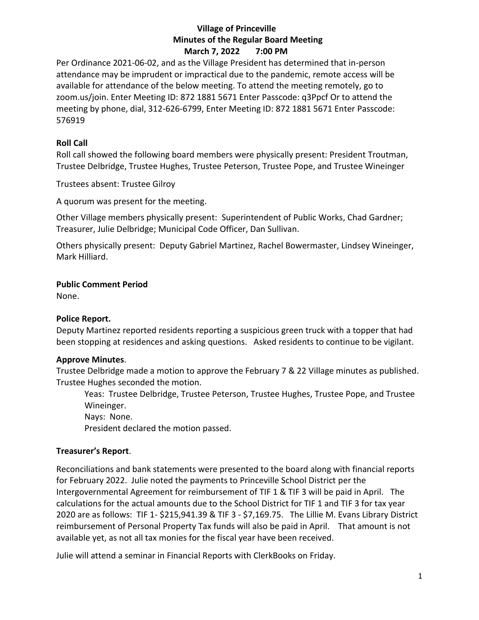## **Village of Princeville Minutes of the Regular Board Meeting March 7, 2022 7:00 PM**

Per Ordinance 2021-06-02, and as the Village President has determined that in-person attendance may be imprudent or impractical due to the pandemic, remote access will be available for attendance of the below meeting. To attend the meeting remotely, go to zoom.us/join. Enter Meeting ID: 872 1881 5671 Enter Passcode: q3Ppcf Or to attend the meeting by phone, dial, 312-626-6799, Enter Meeting ID: 872 1881 5671 Enter Passcode: 576919

# **Roll Call**

Roll call showed the following board members were physically present: President Troutman, Trustee Delbridge, Trustee Hughes, Trustee Peterson, Trustee Pope, and Trustee Wineinger

Trustees absent: Trustee Gilroy

A quorum was present for the meeting.

Other Village members physically present: Superintendent of Public Works, Chad Gardner; Treasurer, Julie Delbridge; Municipal Code Officer, Dan Sullivan.

Others physically present: Deputy Gabriel Martinez, Rachel Bowermaster, Lindsey Wineinger, Mark Hilliard.

## **Public Comment Period**

None.

## **Police Report.**

Deputy Martinez reported residents reporting a suspicious green truck with a topper that had been stopping at residences and asking questions. Asked residents to continue to be vigilant.

## **Approve Minutes**.

Trustee Delbridge made a motion to approve the February 7 & 22 Village minutes as published. Trustee Hughes seconded the motion.

Yeas: Trustee Delbridge, Trustee Peterson, Trustee Hughes, Trustee Pope, and Trustee Wineinger.

Nays: None.

President declared the motion passed.

## **Treasurer's Report**.

Reconciliations and bank statements were presented to the board along with financial reports for February 2022. Julie noted the payments to Princeville School District per the Intergovernmental Agreement for reimbursement of TIF 1 & TIF 3 will be paid in April. The calculations for the actual amounts due to the School District for TIF 1 and TIF 3 for tax year 2020 are as follows: TIF 1- \$215,941.39 & TIF 3 - \$7,169.75. The Lillie M. Evans Library District reimbursement of Personal Property Tax funds will also be paid in April. That amount is not available yet, as not all tax monies for the fiscal year have been received.

Julie will attend a seminar in Financial Reports with ClerkBooks on Friday.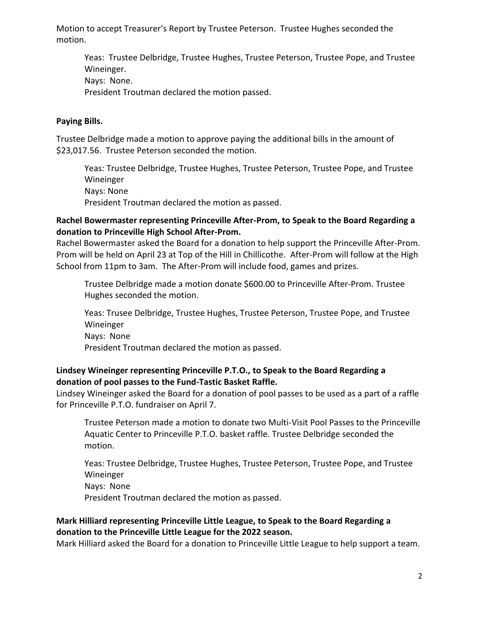Motion to accept Treasurer's Report by Trustee Peterson. Trustee Hughes seconded the motion.

Yeas: Trustee Delbridge, Trustee Hughes, Trustee Peterson, Trustee Pope, and Trustee Wineinger. Nays: None. President Troutman declared the motion passed.

#### **Paying Bills.**

Trustee Delbridge made a motion to approve paying the additional bills in the amount of \$23,017.56. Trustee Peterson seconded the motion.

Yeas: Trustee Delbridge, Trustee Hughes, Trustee Peterson, Trustee Pope, and Trustee Wineinger Nays: None President Troutman declared the motion as passed.

#### **Rachel Bowermaster representing Princeville After-Prom, to Speak to the Board Regarding a donation to Princeville High School After-Prom.**

Rachel Bowermaster asked the Board for a donation to help support the Princeville After-Prom. Prom will be held on April 23 at Top of the Hill in Chillicothe. After-Prom will follow at the High School from 11pm to 3am. The After-Prom will include food, games and prizes.

Trustee Delbridge made a motion donate \$600.00 to Princeville After-Prom. Trustee Hughes seconded the motion.

Yeas: Trusee Delbridge, Trustee Hughes, Trustee Peterson, Trustee Pope, and Trustee Wineinger Nays: None President Troutman declared the motion as passed.

## **Lindsey Wineinger representing Princeville P.T.O., to Speak to the Board Regarding a donation of pool passes to the Fund-Tastic Basket Raffle.**

Lindsey Wineinger asked the Board for a donation of pool passes to be used as a part of a raffle for Princeville P.T.O. fundraiser on April 7.

Trustee Peterson made a motion to donate two Multi-Visit Pool Passes to the Princeville Aquatic Center to Princeville P.T.O. basket raffle. Trustee Delbridge seconded the motion.

Yeas: Trustee Delbridge, Trustee Hughes, Trustee Peterson, Trustee Pope, and Trustee Wineinger Nays: None

President Troutman declared the motion as passed.

# **Mark Hilliard representing Princeville Little League, to Speak to the Board Regarding a donation to the Princeville Little League for the 2022 season.**

Mark Hilliard asked the Board for a donation to Princeville Little League to help support a team.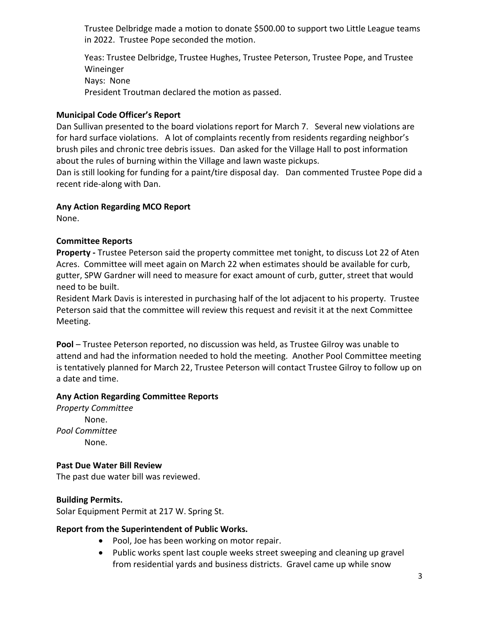Trustee Delbridge made a motion to donate \$500.00 to support two Little League teams in 2022. Trustee Pope seconded the motion.

Yeas: Trustee Delbridge, Trustee Hughes, Trustee Peterson, Trustee Pope, and Trustee Wineinger Nays: None President Troutman declared the motion as passed.

## **Municipal Code Officer's Report**

Dan Sullivan presented to the board violations report for March 7. Several new violations are for hard surface violations. A lot of complaints recently from residents regarding neighbor's brush piles and chronic tree debris issues. Dan asked for the Village Hall to post information about the rules of burning within the Village and lawn waste pickups.

Dan is still looking for funding for a paint/tire disposal day. Dan commented Trustee Pope did a recent ride-along with Dan.

#### **Any Action Regarding MCO Report**

None.

#### **Committee Reports**

**Property -** Trustee Peterson said the property committee met tonight, to discuss Lot 22 of Aten Acres. Committee will meet again on March 22 when estimates should be available for curb, gutter, SPW Gardner will need to measure for exact amount of curb, gutter, street that would need to be built.

Resident Mark Davis is interested in purchasing half of the lot adjacent to his property. Trustee Peterson said that the committee will review this request and revisit it at the next Committee Meeting.

**Pool** – Trustee Peterson reported, no discussion was held, as Trustee Gilroy was unable to attend and had the information needed to hold the meeting. Another Pool Committee meeting is tentatively planned for March 22, Trustee Peterson will contact Trustee Gilroy to follow up on a date and time.

#### **Any Action Regarding Committee Reports**

*Property Committee* None. *Pool Committee* None.

#### **Past Due Water Bill Review**

The past due water bill was reviewed.

## **Building Permits.**

Solar Equipment Permit at 217 W. Spring St.

#### **Report from the Superintendent of Public Works.**

- Pool, Joe has been working on motor repair.
- Public works spent last couple weeks street sweeping and cleaning up gravel from residential yards and business districts. Gravel came up while snow